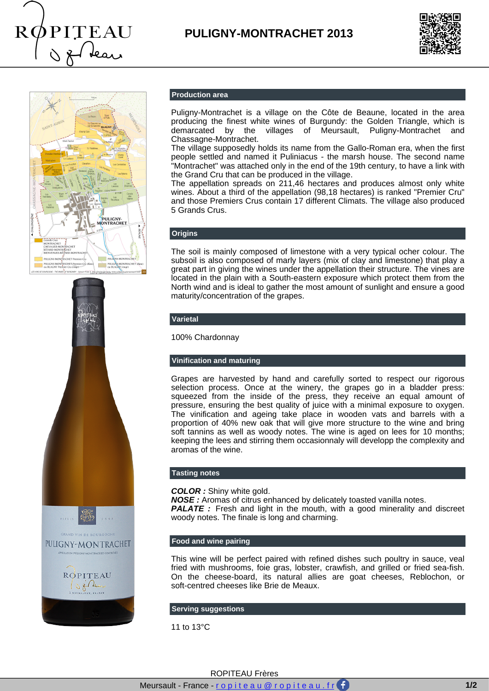

# **PULIGNY-MONTRACHET 2013**







#### **Production area**

Puligny-Montrachet is a village on the Côte de Beaune, located in the area producing the finest white wines of Burgundy: the Golden Triangle, which is demarcated by the villages of Meursault, Puligny-Montrachet and Chassagne-Montrachet.

The village supposedly holds its name from the Gallo-Roman era, when the first people settled and named it Puliniacus - the marsh house. The second name "Montrachet" was attached only in the end of the 19th century, to have a link with the Grand Cru that can be produced in the village.

The appellation spreads on 211,46 hectares and produces almost only white wines. About a third of the appellation (98,18 hectares) is ranked "Premier Cru" and those Premiers Crus contain 17 different Climats. The village also produced 5 Grands Crus.

#### **Origins**

The soil is mainly composed of limestone with a very typical ocher colour. The subsoil is also composed of marly layers (mix of clay and limestone) that play a great part in giving the wines under the appellation their structure. The vines are located in the plain with a South-eastern exposure which protect them from the North wind and is ideal to gather the most amount of sunlight and ensure a good maturity/concentration of the grapes.

#### **Varietal**

100% Chardonnay

#### **Vinification and maturing**

Grapes are harvested by hand and carefully sorted to respect our rigorous selection process. Once at the winery, the grapes go in a bladder press: squeezed from the inside of the press, they receive an equal amount of pressure, ensuring the best quality of juice with a minimal exposure to oxygen. The vinification and ageing take place in wooden vats and barrels with a proportion of 40% new oak that will give more structure to the wine and bring soft tannins as well as woody notes. The wine is aged on lees for 10 months; keeping the lees and stirring them occasionnaly will developp the complexity and aromas of the wine.

#### **Tasting notes**

**COLOR :** Shiny white gold.

**NOSE :** Aromas of citrus enhanced by delicately toasted vanilla notes. **PALATE**: Fresh and light in the mouth, with a good minerality and discreet woody notes. The finale is long and charming.

### **Food and wine pairing**

This wine will be perfect paired with refined dishes such poultry in sauce, veal fried with mushrooms, foie gras, lobster, crawfish, and grilled or fried sea-fish. On the cheese-board, its natural allies are goat cheeses, Reblochon, or soft-centred cheeses like Brie de Meaux.

#### **Serving suggestions**

11 to 13°C